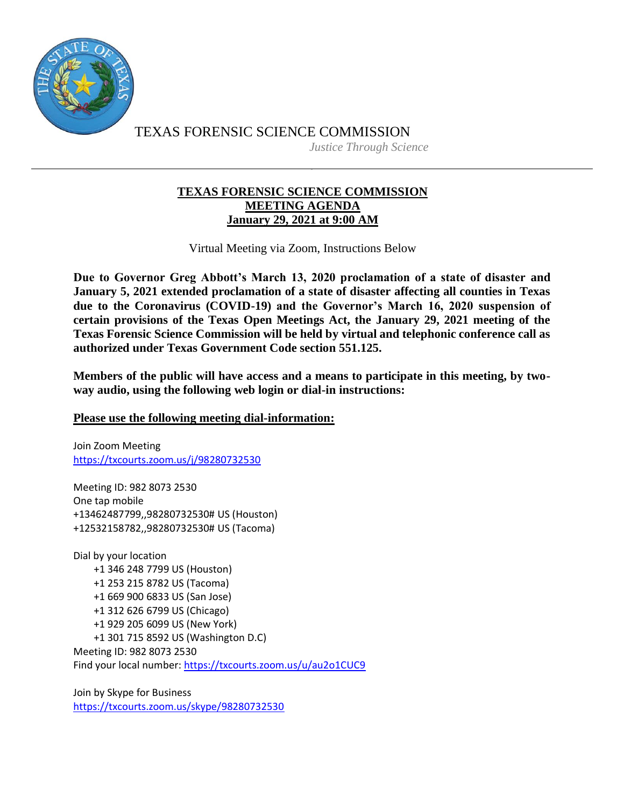

TEXAS FORENSIC SCIENCE COMMISSION *Justice Through Science*

## **TEXAS FORENSIC SCIENCE COMMISSION MEETING AGENDA January 29, 2021 at 9:00 AM**

Virtual Meeting via Zoom, Instructions Below

**Due to Governor Greg Abbott's March 13, 2020 proclamation of a state of disaster and January 5, 2021 extended proclamation of a state of disaster affecting all counties in Texas due to the Coronavirus (COVID-19) and the Governor's March 16, 2020 suspension of certain provisions of the Texas Open Meetings Act, the January 29, 2021 meeting of the Texas Forensic Science Commission will be held by virtual and telephonic conference call as authorized under Texas Government Code section 551.125.**

**Members of the public will have access and a means to participate in this meeting, by twoway audio, using the following web login or dial-in instructions:**

## **Please use the following meeting dial-information:**

Join Zoom Meeting <https://txcourts.zoom.us/j/98280732530>

Meeting ID: 982 8073 2530 One tap mobile +13462487799,,98280732530# US (Houston) +12532158782,,98280732530# US (Tacoma)

Dial by your location +1 346 248 7799 US (Houston) +1 253 215 8782 US (Tacoma) +1 669 900 6833 US (San Jose) +1 312 626 6799 US (Chicago) +1 929 205 6099 US (New York) +1 301 715 8592 US (Washington D.C) Meeting ID: 982 8073 2530 Find your local number:<https://txcourts.zoom.us/u/au2o1CUC9>

Join by Skype for Business <https://txcourts.zoom.us/skype/98280732530>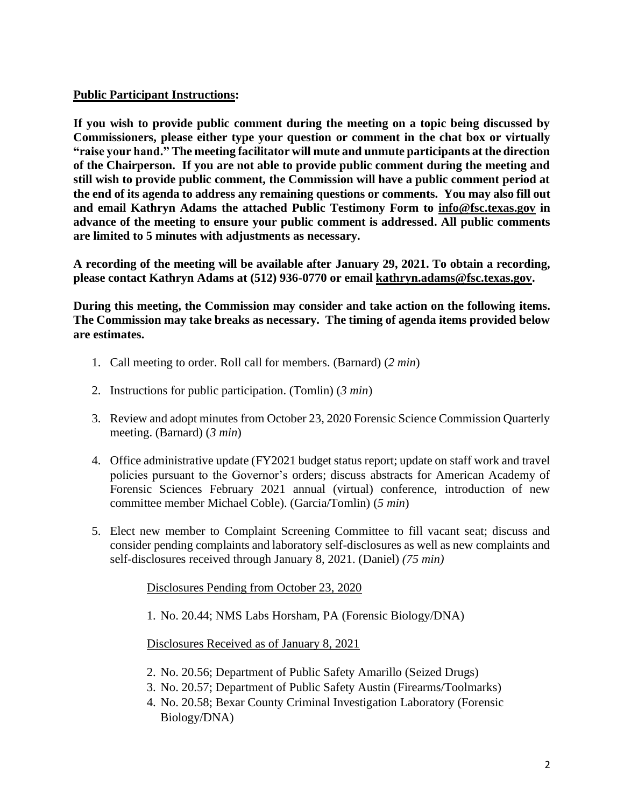## **Public Participant Instructions:**

**If you wish to provide public comment during the meeting on a topic being discussed by Commissioners, please either type your question or comment in the chat box or virtually "raise your hand." The meeting facilitator will mute and unmute participants at the direction of the Chairperson. If you are not able to provide public comment during the meeting and still wish to provide public comment, the Commission will have a public comment period at the end of its agenda to address any remaining questions or comments. You may also fill out and email Kathryn Adams the attached Public Testimony Form to [info@fsc.texas.gov](mailto:info@fsc.texas.gov) in advance of the meeting to ensure your public comment is addressed. All public comments are limited to 5 minutes with adjustments as necessary.**

**A recording of the meeting will be available after January 29, 2021. To obtain a recording, please contact Kathryn Adams at (512) 936-0770 or email [kathryn.adams@fsc.texas.gov.](mailto:info@fsc.texas.gov)**

**During this meeting, the Commission may consider and take action on the following items. The Commission may take breaks as necessary. The timing of agenda items provided below are estimates.** 

- 1. Call meeting to order. Roll call for members. (Barnard) (*2 min*)
- 2. Instructions for public participation. (Tomlin) (*3 min*)
- 3. Review and adopt minutes from October 23, 2020 Forensic Science Commission Quarterly meeting. (Barnard) (*3 min*)
- 4. Office administrative update (FY2021 budget status report; update on staff work and travel policies pursuant to the Governor's orders; discuss abstracts for American Academy of Forensic Sciences February 2021 annual (virtual) conference, introduction of new committee member Michael Coble). (Garcia/Tomlin) (*5 min*)
- 5. Elect new member to Complaint Screening Committee to fill vacant seat; discuss and consider pending complaints and laboratory self-disclosures as well as new complaints and self-disclosures received through January 8, 2021. (Daniel) *(75 min)*

Disclosures Pending from October 23, 2020

1. No. 20.44; NMS Labs Horsham, PA (Forensic Biology/DNA)

## Disclosures Received as of January 8, 2021

- 2. No. 20.56; Department of Public Safety Amarillo (Seized Drugs)
- 3. No. 20.57; Department of Public Safety Austin (Firearms/Toolmarks)
- 4. No. 20.58; Bexar County Criminal Investigation Laboratory (Forensic Biology/DNA)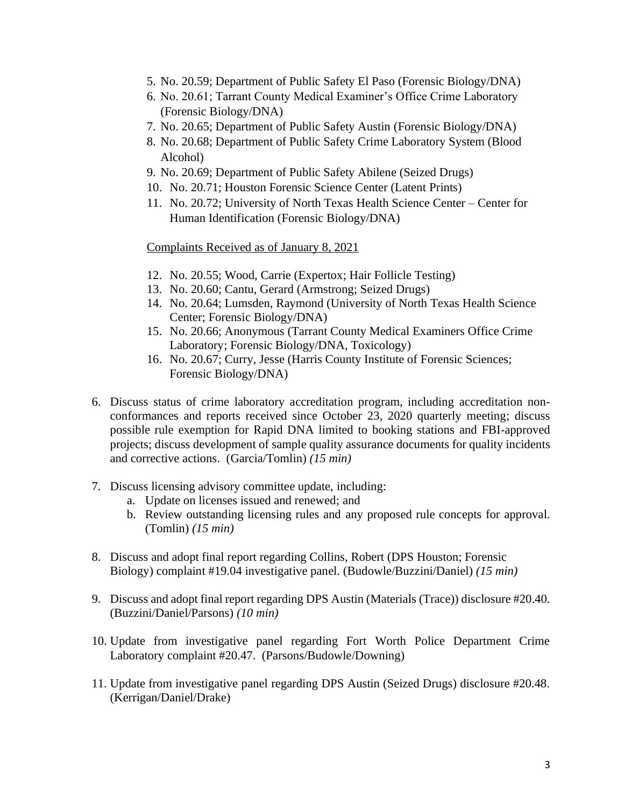- 5. No. 20.59; Department of Public Safety El Paso (Forensic Biology/DNA)
- 6. No. 20.61; Tarrant County Medical Examiner's Office Crime Laboratory (Forensic Biology/DNA)
- 7. No. 20.65; Department of Public Safety Austin (Forensic Biology/DNA)
- 8. No. 20.68; Department of Public Safety Crime Laboratory System (Blood Alcohol)
- 9. No. 20.69; Department of Public Safety Abilene (Seized Drugs)
- 10. No. 20.71; Houston Forensic Science Center (Latent Prints)
- 11. No. 20.72; University of North Texas Health Science Center Center for Human Identification (Forensic Biology/DNA)

Complaints Received as of January 8, 2021

- 12. No. 20.55; Wood, Carrie (Expertox; Hair Follicle Testing)
- 13. No. 20.60; Cantu, Gerard (Armstrong; Seized Drugs)
- 14. No. 20.64; Lumsden, Raymond (University of North Texas Health Science Center; Forensic Biology/DNA)
- 15. No. 20.66; Anonymous (Tarrant County Medical Examiners Office Crime Laboratory; Forensic Biology/DNA, Toxicology)
- 16. No. 20.67; Curry, Jesse (Harris County Institute of Forensic Sciences; Forensic Biology/DNA)
- 6. Discuss status of crime laboratory accreditation program, including accreditation nonconformances and reports received since October 23, 2020 quarterly meeting; discuss possible rule exemption for Rapid DNA limited to booking stations and FBI-approved projects; discuss development of sample quality assurance documents for quality incidents and corrective actions. (Garcia/Tomlin) *(15 min)*
- 7. Discuss licensing advisory committee update, including:
	- a. Update on licenses issued and renewed; and
	- b. Review outstanding licensing rules and any proposed rule concepts for approval. (Tomlin) *(15 min)*
- 8. Discuss and adopt final report regarding Collins, Robert (DPS Houston; Forensic Biology) complaint #19.04 investigative panel. (Budowle/Buzzini/Daniel) *(15 min)*
- 9. Discuss and adopt final report regarding DPS Austin (Materials (Trace)) disclosure #20.40. (Buzzini/Daniel/Parsons) *(10 min)*
- 10. Update from investigative panel regarding Fort Worth Police Department Crime Laboratory complaint #20.47. (Parsons/Budowle/Downing)
- 11. Update from investigative panel regarding DPS Austin (Seized Drugs) disclosure #20.48. (Kerrigan/Daniel/Drake)